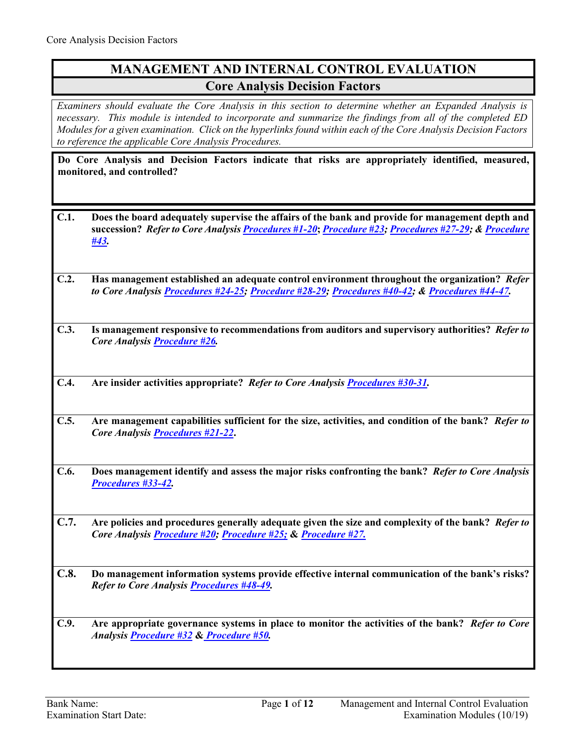# **MANAGEMENT AND INTERNAL CONTROL EVALUATION Core Analysis Decision Factors**

*Examiners should evaluate the Core Analysis in this section to determine whether an Expanded Analysis is necessary. This module is intended to incorporate and summarize the findings from all of the completed ED Modules for a given examination. Click on the hyperlinks found within each of the Core Analysis Decision Factors to reference the applicable Core Analysis Procedures.*

**Do Core Analysis and Decision Factors indicate that risks are appropriately identified, measured, monitored, and controlled?** 

- **C.1. Does the board adequately supervise the affairs of the bank and provide for management depth and succession?** *Refer to Core Analysi[s Procedures #1-20](#page-1-0)***;** *[Procedure #23;](#page-5-0) [Procedures #27-29](#page-6-0); & [Procedure](#page-9-0)  [#43.](#page-9-0)*
- **C.2. Has management established an adequate control environment throughout the organization?** *Refer to Core Analysis [Procedures #24-25;](#page-5-1) [Procedure #28-29;](#page-6-1) [Procedures #40-42;](#page-9-1) [& Procedures #44-47](#page-9-2).*
- **C.3. Is management responsive to recommendations from auditors and supervisory authorities?** *Refer to Core Analysis [Procedure #26](#page-6-2).*
- **C.4. Are insider activities appropriate?** *Refer to Core Analysi[s Procedures #30-31](#page-7-0).*
- **C.5. Are management capabilities sufficient for the size, activities, and condition of the bank?** *Refer to Core Analysis [Procedures #21-22](#page-5-2)***.**
- **C.6. Does management identify and assess the major risks confronting the bank?** *Refer to Core Analysis [Procedures #33-42.](#page-7-1)*
- **C.7. Are policies and procedures generally adequate given the size and complexity of the bank?** *Refer to Core Analysis [Procedure #20;](#page-4-0) [Procedure #25;](#page-5-3)* **&** *[Procedure #27.](#page-6-0)*
- **C.8. Do management information systems provide effective internal communication of the bank's risks?**  *Refer to Core Analysis [Procedures #48-49.](#page-10-0)*
- **C.9. Are appropriate governance systems in place to monitor the activities of the bank?** *Refer to Core Analysi[s Procedure #32](#page-7-2)* **&** *[Procedure #50.](#page-10-1)*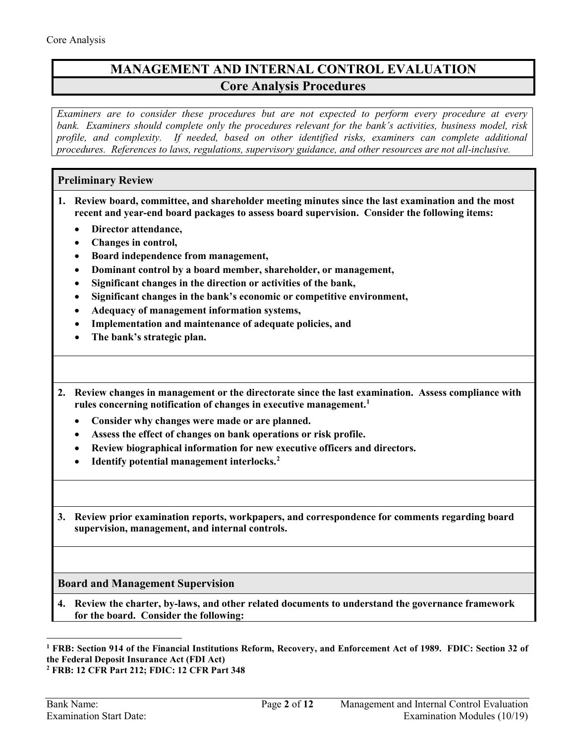# **MANAGEMENT AND INTERNAL CONTROL EVALUATION Core Analysis Procedures**

*Examiners are to consider these procedures but are not expected to perform every procedure at every bank. Examiners should complete only the procedures relevant for the bank's activities, business model, risk profile, and complexity. If needed, based on other identified risks, examiners can complete additional procedures. References to laws, regulations, supervisory guidance, and other resources are not all-inclusive.*

### **Preliminary Review**

- <span id="page-1-0"></span>**1. Review board, committee, and shareholder meeting minutes since the last examination and the most recent and year-end board packages to assess board supervision. Consider the following items:**
	- **Director attendance,**
	- **Changes in control,**
	- **Board independence from management,**
	- **Dominant control by a board member, shareholder, or management,**
	- **Significant changes in the direction or activities of the bank,**
	- **Significant changes in the bank's economic or competitive environment,**
	- **Adequacy of management information systems,**
	- **Implementation and maintenance of adequate policies, and**
	- **The bank's strategic plan.**
- **2. Review changes in management or the directorate since the last examination. Assess compliance with rules concerning notification of changes in executive management[.1](#page-1-1)** 
	- **Consider why changes were made or are planned.**
	- **Assess the effect of changes on bank operations or risk profile.**
	- **Review biographical information for new executive officers and directors.**
	- **Identify potential management interlocks.[2](#page-1-2)**
- **3. Review prior examination reports, workpapers, and correspondence for comments regarding board supervision, management, and internal controls.**

### **Board and Management Supervision**

**4. Review the charter, by-laws, and other related documents to understand the governance framework for the board. Consider the following:** 

<span id="page-1-1"></span> $\overline{a}$ **<sup>1</sup> FRB: Section 914 of the Financial Institutions Reform, Recovery, and Enforcement Act of 1989. FDIC: Section 32 of the Federal Deposit Insurance Act (FDI Act)**

<span id="page-1-2"></span>**<sup>2</sup> FRB: 12 CFR Part 212; FDIC: 12 CFR Part 348**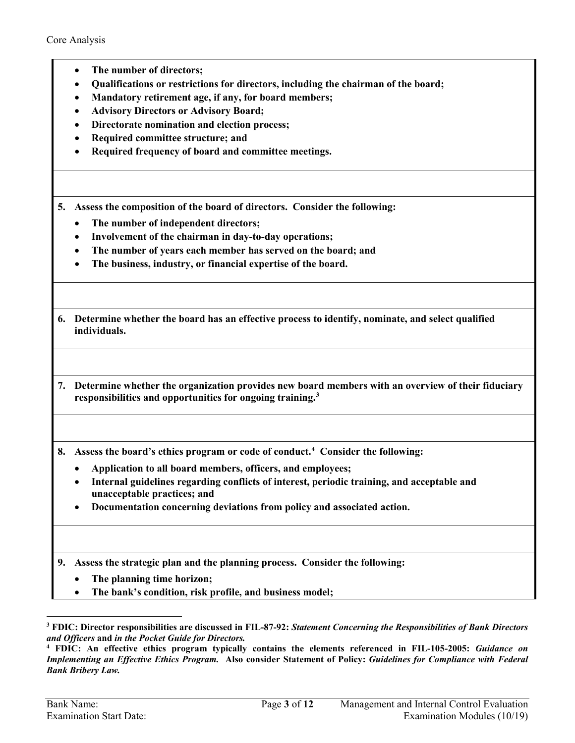- **The number of directors;**
- **Qualifications or restrictions for directors, including the chairman of the board;**
- **Mandatory retirement age, if any, for board members;**
- **Advisory Directors or Advisory Board;**
- **Directorate nomination and election process;**
- **Required committee structure; and**
- **Required frequency of board and committee meetings.**

**5. Assess the composition of the board of directors. Consider the following:**

- **The number of independent directors;**
- **Involvement of the chairman in day-to-day operations;**
- **The number of years each member has served on the board; and**
- **The business, industry, or financial expertise of the board.**

| 6. Determine whether the board has an effective process to identify, nominate, and select qualified |
|-----------------------------------------------------------------------------------------------------|
| individuals.                                                                                        |

**7. Determine whether the organization provides new board members with an overview of their fiduciary responsibilities and opportunities for ongoing training.[3](#page-2-0)** 

**8. Assess the board's ethics program or code of conduct. [4](#page-2-1) Consider the following:**

- **Application to all board members, officers, and employees;**
- **Internal guidelines regarding conflicts of interest, periodic training, and acceptable and unacceptable practices; and**
- **Documentation concerning deviations from policy and associated action.**

**9. Assess the strategic plan and the planning process. Consider the following:**

- **The planning time horizon;**
- **The bank's condition, risk profile, and business model;**

 $\ddot{\phantom{a}}$ 

<span id="page-2-0"></span>**<sup>3</sup> FDIC: Director responsibilities are discussed in FIL-87-92:** *Statement Concerning the Responsibilities of Bank Directors and Officers* **and** *in the Pocket Guide for Directors.* 

<span id="page-2-1"></span>**<sup>4</sup> FDIC: An effective ethics program typically contains the elements referenced in FIL-105-2005:** *Guidance on Implementing an Effective Ethics Program.* **Also consider Statement of Policy:** *Guidelines for Compliance with Federal Bank Bribery Law.*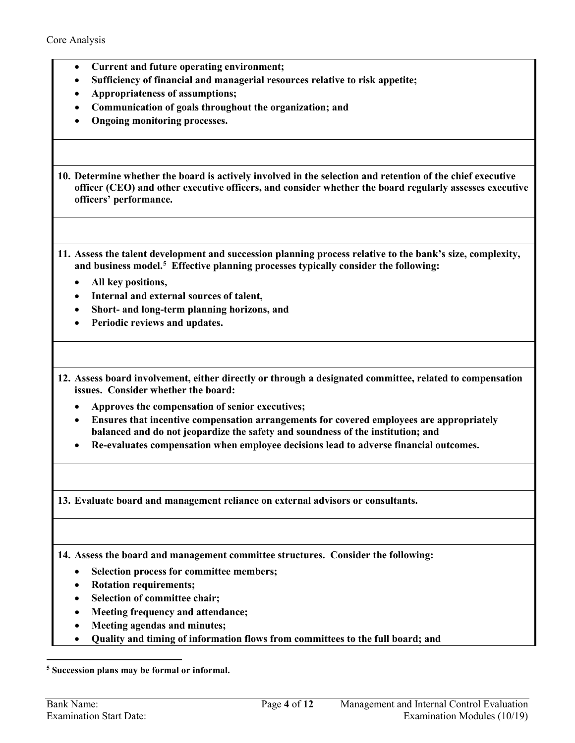- **Current and future operating environment;**
- **Sufficiency of financial and managerial resources relative to risk appetite;**
- **Appropriateness of assumptions;**
- **Communication of goals throughout the organization; and**
- **Ongoing monitoring processes.**

**10. Determine whether the board is actively involved in the selection and retention of the chief executive officer (CEO) and other executive officers, and consider whether the board regularly assesses executive officers' performance.** 

- **11. Assess the talent development and succession planning process relative to the bank's size, complexity, and business model. [5](#page-3-0) Effective planning processes typically consider the following:** 
	- **All key positions,**
	- **Internal and external sources of talent,**
	- **Short- and long-term planning horizons, and**
	- **Periodic reviews and updates.**
- **12. Assess board involvement, either directly or through a designated committee, related to compensation issues. Consider whether the board:** 
	- **Approves the compensation of senior executives;**
	- **Ensures that incentive compensation arrangements for covered employees are appropriately balanced and do not jeopardize the safety and soundness of the institution; and**
	- **Re-evaluates compensation when employee decisions lead to adverse financial outcomes.**

**13. Evaluate board and management reliance on external advisors or consultants.**

**14. Assess the board and management committee structures. Consider the following:**

- **Selection process for committee members;**
- **Rotation requirements;**
- **Selection of committee chair;**
- **Meeting frequency and attendance;**
- **Meeting agendas and minutes;**
- **Quality and timing of information flows from committees to the full board; and**

<span id="page-3-0"></span>**<sup>5</sup> Succession plans may be formal or informal.**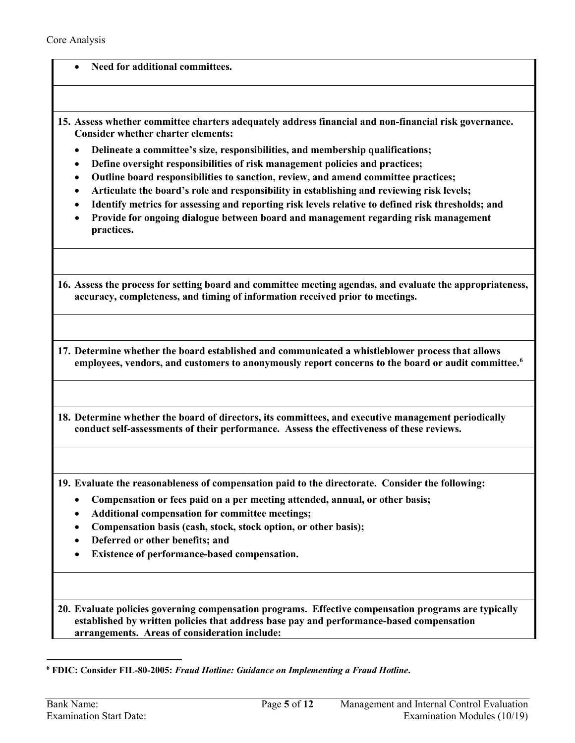- **Need for additional committees.**
- **15. Assess whether committee charters adequately address financial and non-financial risk governance. Consider whether charter elements:** 
	- **Delineate a committee's size, responsibilities, and membership qualifications;**
	- **Define oversight responsibilities of risk management policies and practices;**
	- **Outline board responsibilities to sanction, review, and amend committee practices;**
	- **Articulate the board's role and responsibility in establishing and reviewing risk levels;**
	- **Identify metrics for assessing and reporting risk levels relative to defined risk thresholds; and**
	- **Provide for ongoing dialogue between board and management regarding risk management practices.**

**16. Assess the process for setting board and committee meeting agendas, and evaluate the appropriateness, accuracy, completeness, and timing of information received prior to meetings.** 

- **17. Determine whether the board established and communicated a whistleblower process that allows employees, vendors, and customers to anonymously report concerns to the board or audit committee. [6](#page-4-1)**
- **18. Determine whether the board of directors, its committees, and executive management periodically conduct self-assessments of their performance. Assess the effectiveness of these reviews.**

**19. Evaluate the reasonableness of compensation paid to the directorate. Consider the following:**

- **Compensation or fees paid on a per meeting attended, annual, or other basis;**
- **Additional compensation for committee meetings;**
- **Compensation basis (cash, stock, stock option, or other basis);**
- **Deferred or other benefits; and**
- **Existence of performance-based compensation.**

<span id="page-4-0"></span>**20. Evaluate policies governing compensation programs. Effective compensation programs are typically established by written policies that address base pay and performance-based compensation arrangements. Areas of consideration include:**

<span id="page-4-1"></span>**<sup>6</sup> FDIC: Consider FIL-80-2005:** *Fraud Hotline: Guidance on Implementing a Fraud Hotline***.**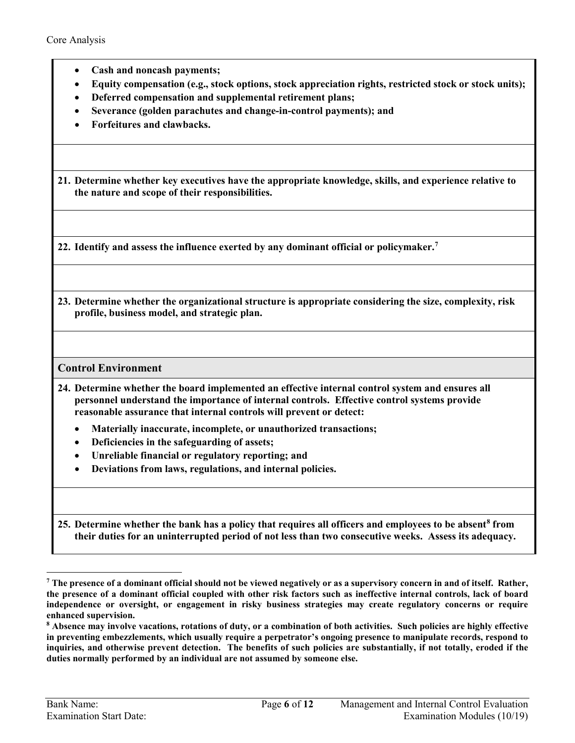- **Cash and noncash payments;**
- **Equity compensation (e.g., stock options, stock appreciation rights, restricted stock or stock units);**
- **Deferred compensation and supplemental retirement plans;**
- **Severance (golden parachutes and change-in-control payments); and**
- **Forfeitures and clawbacks.**

<span id="page-5-2"></span>**21. Determine whether key executives have the appropriate knowledge, skills, and experience relative to the nature and scope of their responsibilities.**

**22. Identify and assess the influence exerted by any dominant official or policymaker.[7](#page-5-4)** 

<span id="page-5-0"></span>**23. Determine whether the organizational structure is appropriate considering the size, complexity, risk profile, business model, and strategic plan.**

#### **Control Environment**

- <span id="page-5-1"></span>**24. Determine whether the board implemented an effective internal control system and ensures all personnel understand the importance of internal controls. Effective control systems provide reasonable assurance that internal controls will prevent or detect:**
	- **Materially inaccurate, incomplete, or unauthorized transactions;**
	- **Deficiencies in the safeguarding of assets;**
	- **Unreliable financial or regulatory reporting; and**
	- **Deviations from laws, regulations, and internal policies.**

<span id="page-5-3"></span>**25. Determine whether the bank has a policy that requires all officers and employees to be absent[8](#page-5-5) from their duties for an uninterrupted period of not less than two consecutive weeks. Assess its adequacy.**

<span id="page-5-4"></span>**<sup>7</sup> The presence of a dominant official should not be viewed negatively or as a supervisory concern in and of itself. Rather, the presence of a dominant official coupled with other risk factors such as ineffective internal controls, lack of board independence or oversight, or engagement in risky business strategies may create regulatory concerns or require enhanced supervision.**

<span id="page-5-5"></span>**<sup>8</sup> Absence may involve vacations, rotations of duty, or a combination of both activities. Such policies are highly effective in preventing embezzlements, which usually require a perpetrator's ongoing presence to manipulate records, respond to inquiries, and otherwise prevent detection. The benefits of such policies are substantially, if not totally, eroded if the duties normally performed by an individual are not assumed by someone else.**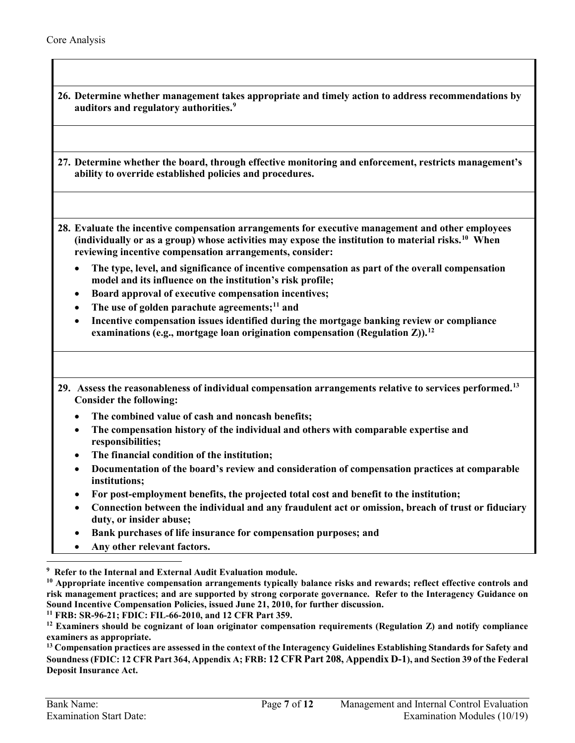<span id="page-6-2"></span><span id="page-6-1"></span><span id="page-6-0"></span>

| 26. Determine whether management takes appropriate and timely action to address recommendations by<br>auditors and regulatory authorities. <sup>9</sup>                                                                                                                         |
|---------------------------------------------------------------------------------------------------------------------------------------------------------------------------------------------------------------------------------------------------------------------------------|
| 27. Determine whether the board, through effective monitoring and enforcement, restricts management's<br>ability to override established policies and procedures.                                                                                                               |
| 28. Evaluate the incentive compensation arrangements for executive management and other employees<br>(individually or as a group) whose activities may expose the institution to material risks. <sup>10</sup> When<br>reviewing incentive compensation arrangements, consider: |
| The type, level, and significance of incentive compensation as part of the overall compensation<br>٠<br>model and its influence on the institution's risk profile;                                                                                                              |
| Board approval of executive compensation incentives;<br>$\bullet$                                                                                                                                                                                                               |
| The use of golden parachute agreements; <sup>11</sup> and<br>$\bullet$<br>Incentive compensation issues identified during the mortgage banking review or compliance<br>$\bullet$<br>examinations (e.g., mortgage loan origination compensation (Regulation Z)). <sup>12</sup>   |
| 29. Assess the reasonableness of individual compensation arrangements relative to services performed. <sup>13</sup><br><b>Consider the following:</b>                                                                                                                           |
| The combined value of cash and noncash benefits;<br>$\bullet$                                                                                                                                                                                                                   |
| The compensation history of the individual and others with comparable expertise and<br>$\bullet$<br>responsibilities;                                                                                                                                                           |
| The financial condition of the institution;<br>$\bullet$<br>Documentation of the board's review and consideration of compensation practices at comparable<br>$\bullet$<br>institutions;                                                                                         |
| For post-employment benefits, the projected total cost and benefit to the institution;<br>٠                                                                                                                                                                                     |
| Connection between the individual and any fraudulent act or omission, breach of trust or fiduciary<br>duty, or insider abuse;                                                                                                                                                   |
| Bank purchases of life insurance for compensation purposes; and<br>٠                                                                                                                                                                                                            |
| Any other relevant factors.                                                                                                                                                                                                                                                     |

<span id="page-6-4"></span><span id="page-6-3"></span>**<sup>10</sup> Appropriate incentive compensation arrangements typically balance risks and rewards; reflect effective controls and risk management practices; and are supported by strong corporate governance. Refer to the Interagency Guidance on**  Sound Incentive Compensation Policies, issued June 21, 2010, for further discussion.<br><sup>11</sup> FRB: SR-96-21; FDIC: FIL-66-2010, and 12 CFR Part 359.

<span id="page-6-5"></span>

<span id="page-6-6"></span><sup>12</sup> Examiners should be cognizant of loan originator compensation requirements (Regulation Z) and notify compliance **examiners as appropriate.** 

<span id="page-6-7"></span>**<sup>13</sup> Compensation practices are assessed in the context of the Interagency Guidelines Establishing Standards for Safety and Soundness (FDIC: 12 CFR Part 364, Appendix A; FRB: 12 CFR Part 208, Appendix D-1), and Section 39 of the Federal Deposit Insurance Act.**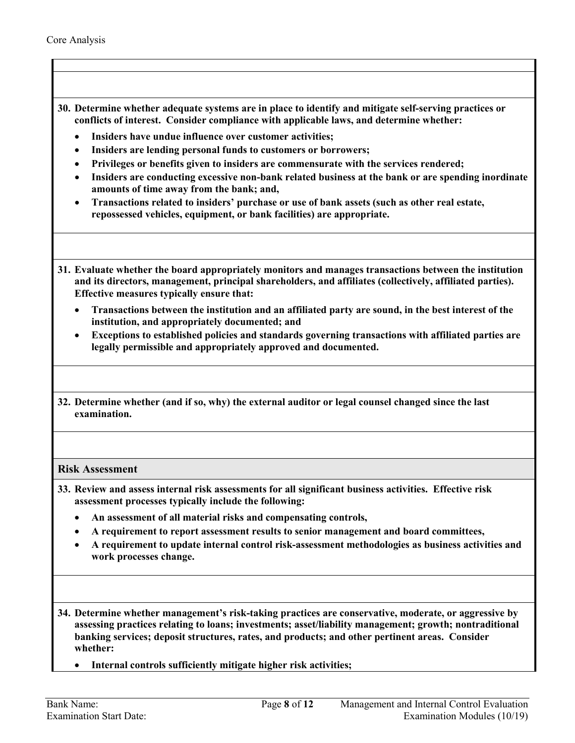- <span id="page-7-0"></span>**30. Determine whether adequate systems are in place to identify and mitigate self-serving practices or conflicts of interest. Consider compliance with applicable laws, and determine whether:**
	- **Insiders have undue influence over customer activities;**
	- **Insiders are lending personal funds to customers or borrowers;**
	- **Privileges or benefits given to insiders are commensurate with the services rendered;**
	- **Insiders are conducting excessive non-bank related business at the bank or are spending inordinate amounts of time away from the bank; and,**
	- **Transactions related to insiders' purchase or use of bank assets (such as other real estate, repossessed vehicles, equipment, or bank facilities) are appropriate.**
- **31. Evaluate whether the board appropriately monitors and manages transactions between the institution and its directors, management, principal shareholders, and affiliates (collectively, affiliated parties). Effective measures typically ensure that:** 
	- **Transactions between the institution and an affiliated party are sound, in the best interest of the institution, and appropriately documented; and**
	- **Exceptions to established policies and standards governing transactions with affiliated parties are legally permissible and appropriately approved and documented.**
- <span id="page-7-2"></span>**32. Determine whether (and if so, why) the external auditor or legal counsel changed since the last examination.**

#### **Risk Assessment**

- <span id="page-7-1"></span>**33. Review and assess internal risk assessments for all significant business activities. Effective risk assessment processes typically include the following:** 
	- **An assessment of all material risks and compensating controls,**
	- **A requirement to report assessment results to senior management and board committees,**
	- **A requirement to update internal control risk-assessment methodologies as business activities and work processes change.**
- **34. Determine whether management's risk-taking practices are conservative, moderate, or aggressive by assessing practices relating to loans; investments; asset/liability management; growth; nontraditional banking services; deposit structures, rates, and products; and other pertinent areas. Consider whether:** 
	- **Internal controls sufficiently mitigate higher risk activities;**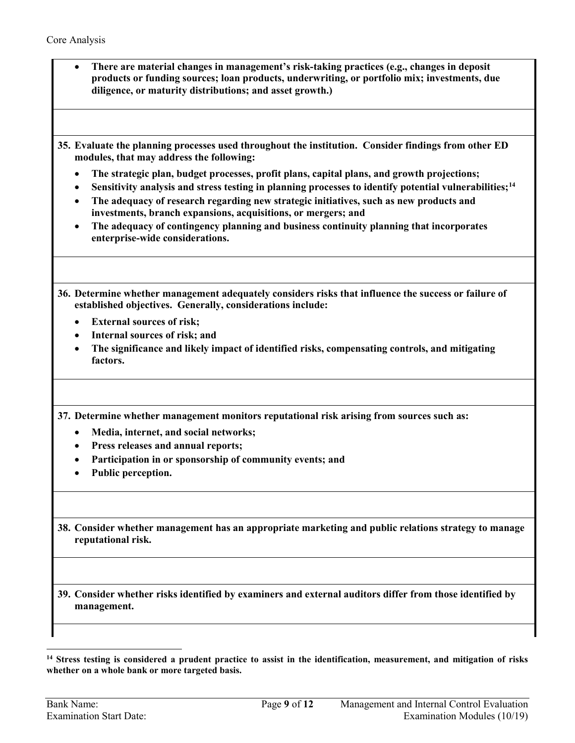- **There are material changes in management's risk-taking practices (e.g., changes in deposit products or funding sources; loan products, underwriting, or portfolio mix; investments, due diligence, or maturity distributions; and asset growth.)**
- **35. Evaluate the planning processes used throughout the institution. Consider findings from other ED modules, that may address the following:** 
	- **The strategic plan, budget processes, profit plans, capital plans, and growth projections;**
	- **Sensitivity analysis and stress testing in planning processes to identify potential vulnerabilities;[14](#page-8-0)**
	- **The adequacy of research regarding new strategic initiatives, such as new products and investments, branch expansions, acquisitions, or mergers; and**
	- **The adequacy of contingency planning and business continuity planning that incorporates enterprise-wide considerations.**
- **36. Determine whether management adequately considers risks that influence the success or failure of established objectives. Generally, considerations include:** 
	- **External sources of risk;**
	- **Internal sources of risk; and**
	- **The significance and likely impact of identified risks, compensating controls, and mitigating factors.**

**37. Determine whether management monitors reputational risk arising from sources such as:** 

- **Media, internet, and social networks;**
- **Press releases and annual reports;**
- **Participation in or sponsorship of community events; and**
- **Public perception.**
- **38. Consider whether management has an appropriate marketing and public relations strategy to manage reputational risk.**

**39. Consider whether risks identified by examiners and external auditors differ from those identified by management.** 

<span id="page-8-0"></span>**<sup>14</sup> Stress testing is considered a prudent practice to assist in the identification, measurement, and mitigation of risks whether on a whole bank or more targeted basis.**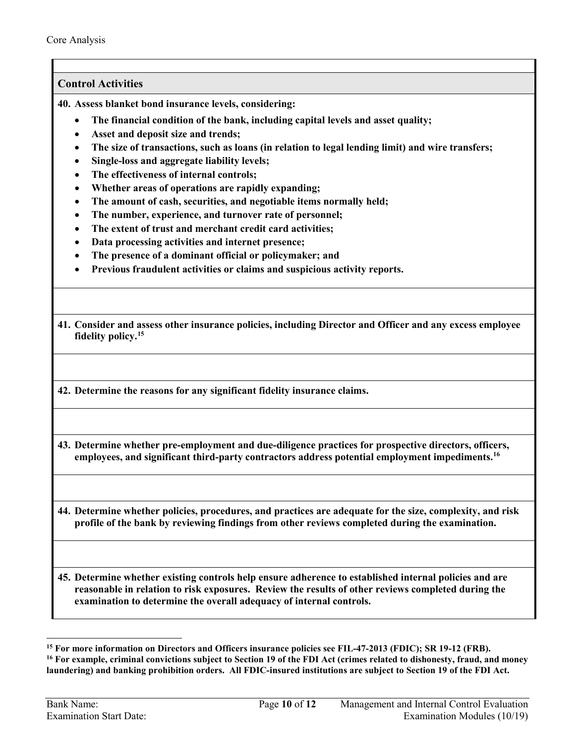### **Control Activities**

<span id="page-9-1"></span>**40. Assess blanket bond insurance levels, considering:** 

- **The financial condition of the bank, including capital levels and asset quality;**
- **Asset and deposit size and trends;**
- **The size of transactions, such as loans (in relation to legal lending limit) and wire transfers;**
- **Single-loss and aggregate liability levels;**
- **The effectiveness of internal controls;**
- **Whether areas of operations are rapidly expanding;**
- **The amount of cash, securities, and negotiable items normally held;**
- **The number, experience, and turnover rate of personnel;**
- **The extent of trust and merchant credit card activities;**
- **Data processing activities and internet presence;**
- **The presence of a dominant official or policymaker; and**
- **Previous fraudulent activities or claims and suspicious activity reports.**
- **41. Consider and assess other insurance policies, including Director and Officer and any excess employee fidelity policy.[15](#page-9-3)**
- **42. Determine the reasons for any significant fidelity insurance claims.**

<span id="page-9-0"></span>**43. Determine whether pre-employment and due-diligence practices for prospective directors, officers, employees, and significant third-party contractors address potential employment impediments[.16](#page-9-4)** 

<span id="page-9-2"></span>**44. Determine whether policies, procedures, and practices are adequate for the size, complexity, and risk profile of the bank by reviewing findings from other reviews completed during the examination.** 

**45. Determine whether existing controls help ensure adherence to established internal policies and are reasonable in relation to risk exposures. Review the results of other reviews completed during the examination to determine the overall adequacy of internal controls.**

<span id="page-9-3"></span>**<sup>15</sup> For more information on Directors and Officers insurance policies see FIL-47-2013 (FDIC); SR 19-12 (FRB).**

<span id="page-9-4"></span>**<sup>16</sup> For example, criminal convictions subject to Section 19 of the FDI Act (crimes related to dishonesty, fraud, and money laundering) and banking prohibition orders. All FDIC-insured institutions are subject to Section 19 of the FDI Act.**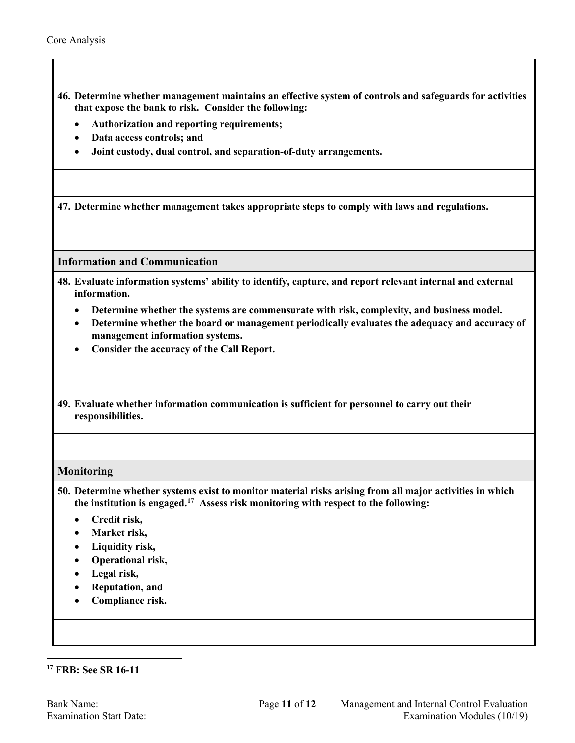**46. Determine whether management maintains an effective system of controls and safeguards for activities that expose the bank to risk. Consider the following:**

- **Authorization and reporting requirements;**
- **Data access controls; and**
- **Joint custody, dual control, and separation-of-duty arrangements.**

**47. Determine whether management takes appropriate steps to comply with laws and regulations.**

**Information and Communication**

- <span id="page-10-0"></span>**48. Evaluate information systems' ability to identify, capture, and report relevant internal and external information.**
	- **Determine whether the systems are commensurate with risk, complexity, and business model.**
	- **Determine whether the board or management periodically evaluates the adequacy and accuracy of management information systems.**
	- **Consider the accuracy of the Call Report.**

**49. Evaluate whether information communication is sufficient for personnel to carry out their responsibilities.**

#### **Monitoring**

<span id="page-10-1"></span>**50. Determine whether systems exist to monitor material risks arising from all major activities in which the institution is engaged.[17](#page-10-2) Assess risk monitoring with respect to the following:**

- **Credit risk,**
- **Market risk,**
- **Liquidity risk,**
- **Operational risk,**
- **Legal risk,**
- **Reputation, and**
- **Compliance risk.**

<span id="page-10-2"></span>**<sup>17</sup> FRB: See SR 16-11**